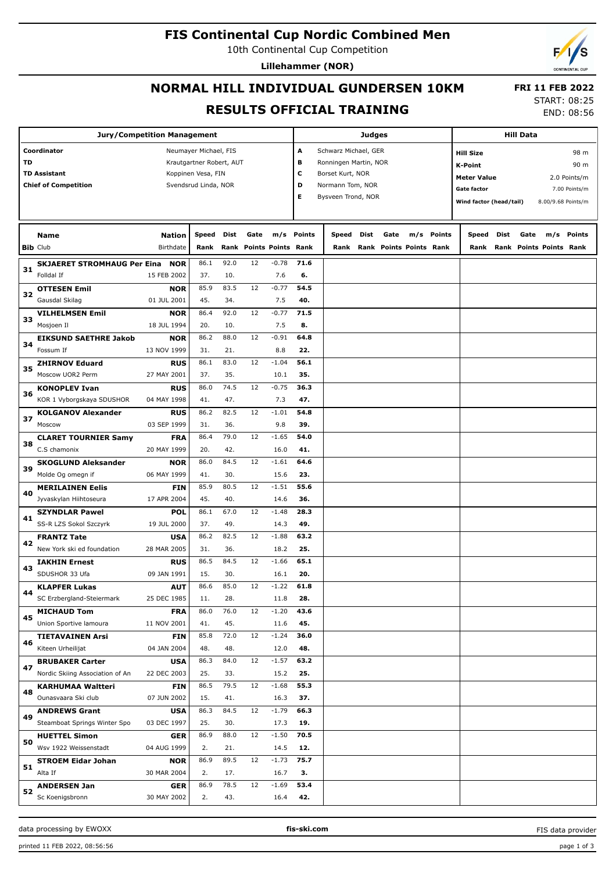#### **FIS Continental Cup Nordic Combined Men**

10th Continental Cup Competition

**Lillehammer (NOR)**

## **NORMAL HILL INDIVIDUAL GUNDERSEN 10KM RESULTS OFFICIAL TRAINING**

**Judges**

**Jury/Competition Management**

START: 08:25 END: 08:56

 **FRI 11 FEB 2022**

**Hill Data**

**Coordinator** Neumayer Michael, FIS **TD** Krautgartner Robert, AUT TD Assistant **TD Assistant** Koppinen Vesa, FIN **Chief of Competition** Svendsrud Linda, NOR **A** Schwarz Michael, GER **B** Ronningen Martin, NOR **C** Borset Kurt, NOR **D** Normann Tom, NOR **E** Bysveen Trond, NOR **K-Point** 90 m **Hill Size** 98 m **Meter Value** 2.0 Points/m Gate factor **6** and 7.00 Points/m **Wind factor (head/tail)** 8.00/9.68 Points/m **Bib** Club **Name** Birthdate **Nation Speed Dist Rank Rank Gate Points Points Rank m/s Points Speed Dist Rank Points Points Rank Points m/s Gate Rank Speed Dist Gate m/s Points Rank Rank Points Points Rank SKJAERET STROMHAUG Per Eina** Folldal If **NOR** 15 FEB 2002 **31** 86.1 92.0 12 37. 10. 7.6 **71.6 6.** -0.78 **OTTESEN Emil** Gausdal Skilag **NOR** 01 JUL 2001 **32** 85.9 83.5 12 45. 34. 7.5 **54.5 40.**  $-0.77$ **VILHELMSEN Emil** Mosjoen Il **NOR** 18 JUL 1994 **33** 86.4 92.0 12 20. 10. 7.5 **71.5 8.**  $-0.77$ **EIKSUND SAETHRE Jakob** Fossum If **NOR** 13 NOV 1999 **34** 86.2 88.0 12 31. 21. 8.8 **64.8 22.**  $-0.91$ **ZHIRNOV Eduard** Moscow UOR2 Perm **RUS** 27 MAY 2001 **35** 86.1 83.0 12 37. 35. 10.1 **56.1 35.**  $-1.04$ **KONOPLEV Ivan** KOR 1 Vyborgskaya SDUSHOR **RUS** 04 MAY 1998 **36** 86.0 74.5 12 41. 47. 7.3 **36.3 47.**  $-0.75$ **KOLGANOV Alexander** Moscow **RUS** 03 SEP 1999 **37** 86.2 82.5 12 31. 36. 9.8 **54.8 39.**  $-1.01$ **CLARET TOURNIER Samy** C.S chamonix **FRA** 20 MAY 1999 **38** 86.4 79.0 12 20. 42. 16.0 **54.0 41.**  $-1.65$ **SKOGLUND Aleksander** Molde Og omegn if **NOR** 06 MAY 1999 **39** 86.0 84.5 12 41. 30. 15.6 **64.6 23.** -1.61 **MERILAINEN Eelis** Jyvaskylan Hiihtoseura **FIN** 17 APR 2004 **40** 85.9 80.5 12 45. 40. 14.6 **55.6 36.** -1.51 **SZYNDLAR Pawel** SS-R LZS Sokol Szczyrk **POL** 19 JUL 2000 **41** 86.1 67.0 12 37. 49. 14.3 **28.3 49.**  $-1.48$ **FRANTZ Tate** New York ski ed foundation **USA** 28 MAR 2005 **42** 86.2 82.5 12 31. 36. 18.2 **63.2 25.**  $-1.88$ **IAKHIN Ernest** SDUSHOR 33 Ufa **RUS** 09 JAN 1991 **43** 86.5 84.5 12 15. 30. 16.1 **65.1 20.** -1.66 **KLAPFER Lukas** SC Erzbergland-Steiermark **AUT** 25 DEC 1985 **44** 86.6 85.0 12 11. 28. 11.8 **61.8 28.**  $-1.22$ **MICHAUD Tom** Union Sportive lamoura **FRA** 11 NOV 2001 **45** 86.0 76.0 12 41. 45. 11.6 **43.6 45.**  $-1.20$ **TIETAVAINEN Arsi** Kiteen Urheilijat **FIN** 04 JAN 2004 **46** 85.8 72.0 12 48. 48. 12.0 **36.0 48.** -1.24 **BRUBAKER Carter** Nordic Skiing Association of An **USA** 22 DEC 2003 **47** 86.3 84.0 12 25. 33. 15.2 **63.2 25.**  $-1.57$ **KARHUMAA Waltteri** Ounasvaara Ski club **FIN** 07 JUN 2002 **48** 86.5 79.5 12 15. 41. 16.3 **55.3 37.**  $-1.68$ **ANDREWS Grant** Steamboat Springs Winter Spo **USA** 03 DEC 1997 **49** 86.3 84.5 12 25. 30. 17.3 **66.3 19.** -1.79 **HUETTEL Simon** Wsv 1922 Weissenstadt **GER** 04 AUG 1999 **50** 86.9 88.0 12 2. 21. 14.5 **70.5 12.**  $-1.50$ **STROEM Eidar Johan** Alta If **NOR** 30 MAR 2004 **51** 86.9 89.5 12 2. 17. 16.7 **75.7 3.** -1.73 **ANDERSEN Jan** Sc Koenigsbronn **GER** 30 MAY 2002 **52** 86.9 78.5 12 2. 43. 16.4 **53.4 42.**  $-1.69$ 

FIS data provider

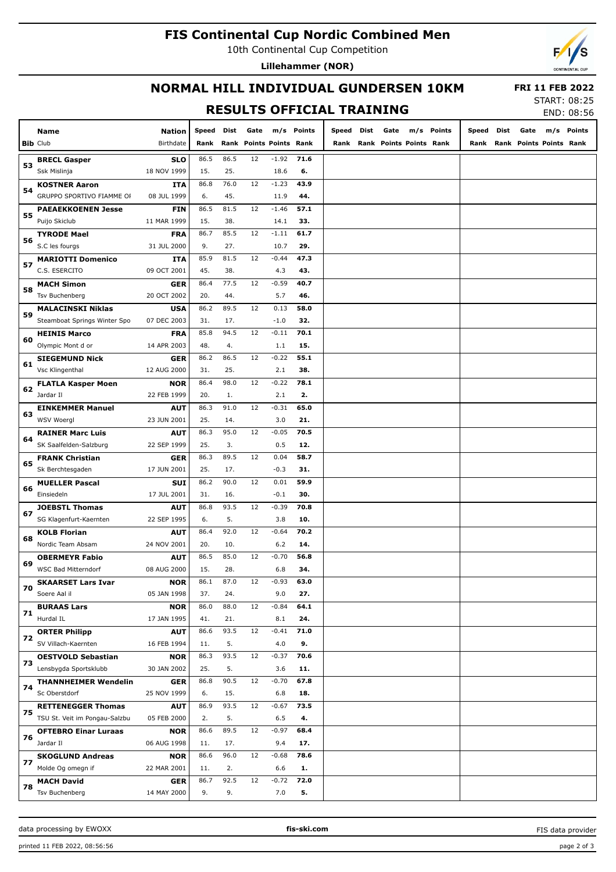# **FIS Continental Cup Nordic Combined Men**

10th Continental Cup Competition

**Lillehammer (NOR)**



# **NORMAL HILL INDIVIDUAL GUNDERSEN 10KM**

 **FRI 11 FEB 2022**

### **RESULTS OFFICIAL TRAINING**

START: 08:25 END: 08:56

|    | <b>Name</b>                                        | <b>Nation</b>             | Speed       | Dist       | Gate                    |                | m/s Points | Speed | Dist | Gate |                         | m/s Points | Speed | Dist | Gate                    | m/s Points |
|----|----------------------------------------------------|---------------------------|-------------|------------|-------------------------|----------------|------------|-------|------|------|-------------------------|------------|-------|------|-------------------------|------------|
|    | <b>Bib Club</b>                                    | Birthdate                 | Rank        |            | Rank Points Points Rank |                |            | Rank  |      |      | Rank Points Points Rank |            | Rank  |      | Rank Points Points Rank |            |
|    | <b>BRECL Gasper</b>                                | <b>SLO</b>                | 86.5        | 86.5       | 12                      | $-1.92$        | 71.6       |       |      |      |                         |            |       |      |                         |            |
| 53 | Ssk Mislinja                                       | 18 NOV 1999               | 15.         | 25.        |                         | 18.6           | 6.         |       |      |      |                         |            |       |      |                         |            |
|    | <b>KOSTNER Aaron</b>                               | <b>ITA</b>                | 86.8        | 76.0       | 12                      | $-1.23$        | 43.9       |       |      |      |                         |            |       |      |                         |            |
| 54 | GRUPPO SPORTIVO FIAMME OF                          | 08 JUL 1999               | 6.          | 45.        |                         | 11.9           | 44.        |       |      |      |                         |            |       |      |                         |            |
|    | <b>PAEAEKKOENEN Jesse</b>                          | <b>FIN</b>                | 86.5        | 81.5       | 12                      | $-1.46$        | 57.1       |       |      |      |                         |            |       |      |                         |            |
| 55 | Puijo Skiclub                                      | 11 MAR 1999               | 15.         | 38.        |                         | 14.1           | 33.        |       |      |      |                         |            |       |      |                         |            |
|    | <b>TYRODE Mael</b>                                 | <b>FRA</b>                | 86.7        | 85.5       | 12                      | $-1.11$        | 61.7       |       |      |      |                         |            |       |      |                         |            |
| 56 | S.C les fourgs                                     | 31 JUL 2000               | 9.          | 27.        |                         | 10.7           | 29.        |       |      |      |                         |            |       |      |                         |            |
|    | <b>MARIOTTI Domenico</b>                           | <b>ITA</b>                | 85.9        | 81.5       | 12                      | $-0.44$        | 47.3       |       |      |      |                         |            |       |      |                         |            |
| 57 | C.S. ESERCITO                                      | 09 OCT 2001               | 45.         | 38.        |                         | 4.3            | 43.        |       |      |      |                         |            |       |      |                         |            |
|    | <b>MACH Simon</b>                                  | <b>GER</b>                | 86.4        | 77.5       | 12                      | $-0.59$        | 40.7       |       |      |      |                         |            |       |      |                         |            |
| 58 | <b>Tsv Buchenberg</b>                              | 20 OCT 2002               | 20.         | 44.        |                         | 5.7            | 46.        |       |      |      |                         |            |       |      |                         |            |
| 59 | <b>MALACINSKI Niklas</b>                           | <b>USA</b>                | 86.2        | 89.5       | 12                      | 0.13           | 58.0       |       |      |      |                         |            |       |      |                         |            |
|    | Steamboat Springs Winter Spo                       | 07 DEC 2003               | 31.         | 17.        |                         | $-1.0$         | 32.        |       |      |      |                         |            |       |      |                         |            |
| 60 | <b>HEINIS Marco</b>                                | <b>FRA</b>                | 85.8        | 94.5       | 12                      | $-0.11$        | 70.1       |       |      |      |                         |            |       |      |                         |            |
|    | Olympic Mont d or                                  | 14 APR 2003               | 48.         | 4.         |                         | 1.1            | 15.        |       |      |      |                         |            |       |      |                         |            |
| 61 | <b>SIEGEMUND Nick</b>                              | <b>GER</b>                | 86.2        | 86.5       | 12                      | $-0.22$        | 55.1       |       |      |      |                         |            |       |      |                         |            |
|    | Vsc Klingenthal                                    | 12 AUG 2000               | 31.         | 25.        |                         | 2.1            | 38.        |       |      |      |                         |            |       |      |                         |            |
| 62 | <b>FLATLA Kasper Moen</b>                          | <b>NOR</b>                | 86.4        | 98.0       | 12                      | $-0.22$        | 78.1       |       |      |      |                         |            |       |      |                         |            |
|    | Jardar II                                          | 22 FEB 1999               | 20.         | 1.         |                         | 2.1            | 2.         |       |      |      |                         |            |       |      |                         |            |
| 63 | <b>EINKEMMER Manuel</b>                            | <b>AUT</b>                | 86.3        | 91.0       | 12                      | $-0.31$        | 65.0       |       |      |      |                         |            |       |      |                         |            |
|    | WSV Woergl                                         | 23 JUN 2001               | 25.         | 14.        |                         | 3.0            | 21.        |       |      |      |                         |            |       |      |                         |            |
| 64 | <b>RAINER Marc Luis</b>                            | <b>AUT</b>                | 86.3        | 95.0       | 12                      | $-0.05$        | 70.5       |       |      |      |                         |            |       |      |                         |            |
|    | SK Saalfelden-Salzburg                             | 22 SEP 1999               | 25.         | 3.         |                         | 0.5            | 12.        |       |      |      |                         |            |       |      |                         |            |
| 65 | <b>FRANK Christian</b>                             | <b>GER</b>                | 86.3        | 89.5       | 12                      | 0.04           | 58.7       |       |      |      |                         |            |       |      |                         |            |
|    | Sk Berchtesgaden                                   | 17 JUN 2001               | 25.         | 17.        |                         | $-0.3$         | 31.        |       |      |      |                         |            |       |      |                         |            |
| 66 | <b>MUELLER Pascal</b>                              | <b>SUI</b>                | 86.2        | 90.0       | 12                      | 0.01           | 59.9       |       |      |      |                         |            |       |      |                         |            |
|    | Einsiedeln                                         | 17 JUL 2001               | 31.         | 16.        |                         | $-0.1$         | 30.        |       |      |      |                         |            |       |      |                         |            |
| 67 | <b>JOEBSTL Thomas</b>                              | AUT                       | 86.8        | 93.5       | 12                      | $-0.39$        | 70.8       |       |      |      |                         |            |       |      |                         |            |
|    | SG Klagenfurt-Kaernten                             | 22 SEP 1995               | 6.          | 5.         |                         | 3.8            | 10.        |       |      |      |                         |            |       |      |                         |            |
| 68 | <b>KOLB Florian</b>                                | <b>AUT</b>                | 86.4        | 92.0       | 12                      | $-0.64$        | 70.2       |       |      |      |                         |            |       |      |                         |            |
|    | Nordic Team Absam                                  | 24 NOV 2001               | 20.         | 10.        |                         | $6.2$          | 14.        |       |      |      |                         |            |       |      |                         |            |
| 69 | <b>OBERMEYR Fabio</b>                              | <b>AUT</b>                | 86.5        | 85.0       | 12                      | $-0.70$        | 56.8       |       |      |      |                         |            |       |      |                         |            |
|    | <b>WSC Bad Mitterndorf</b>                         | 08 AUG 2000               | 15.         | 28.        |                         | 6.8            | 34.        |       |      |      |                         |            |       |      |                         |            |
| 70 | <b>SKAARSET Lars Ivar</b>                          | NOR                       | 86.1        | 8/0        | 12                      | -0.93          | 63.0       |       |      |      |                         |            |       |      |                         |            |
|    | Soere Aal il                                       | 05 JAN 1998               | 37.         | 24.        |                         | 9.0            | 27.        |       |      |      |                         |            |       |      |                         |            |
| 71 | <b>BURAAS Lars</b>                                 | <b>NOR</b>                | 86.0        | 88.0       | 12                      | $-0.84$        | 64.1       |       |      |      |                         |            |       |      |                         |            |
|    | Hurdal IL                                          | 17 JAN 1995               | 41.         | 21.        |                         | 8.1            | 24.        |       |      |      |                         |            |       |      |                         |            |
| 72 | <b>ORTER Philipp</b><br>SV Villach-Kaernten        | <b>AUT</b><br>16 FEB 1994 | 86.6<br>11. | 93.5<br>5. | 12                      | $-0.41$<br>4.0 | 71.0<br>9. |       |      |      |                         |            |       |      |                         |            |
|    |                                                    |                           | 86.3        | 93.5       | 12                      | $-0.37$        | 70.6       |       |      |      |                         |            |       |      |                         |            |
| 73 | <b>OESTVOLD Sebastian</b><br>Lensbygda Sportsklubb | <b>NOR</b><br>30 JAN 2002 | 25.         | 5.         |                         | 3.6            | 11.        |       |      |      |                         |            |       |      |                         |            |
|    |                                                    | <b>GER</b>                | 86.8        | 90.5       | 12                      | $-0.70$        | 67.8       |       |      |      |                         |            |       |      |                         |            |
| 74 | <b>THANNHEIMER Wendelin</b><br>Sc Oberstdorf       | 25 NOV 1999               | 6.          | 15.        |                         | 6.8            | 18.        |       |      |      |                         |            |       |      |                         |            |
|    | <b>RETTENEGGER Thomas</b>                          | <b>AUT</b>                | 86.9        | 93.5       | 12                      | $-0.67$        | 73.5       |       |      |      |                         |            |       |      |                         |            |
| 75 | TSU St. Veit im Pongau-Salzbu                      | 05 FEB 2000               | 2.          | 5.         |                         | 6.5            | 4.         |       |      |      |                         |            |       |      |                         |            |
|    | <b>OFTEBRO Einar Luraas</b>                        | <b>NOR</b>                | 86.6        | 89.5       | 12                      | $-0.97$        | 68.4       |       |      |      |                         |            |       |      |                         |            |
| 76 | Jardar II                                          | 06 AUG 1998               | 11.         | 17.        |                         | 9.4            | 17.        |       |      |      |                         |            |       |      |                         |            |
|    | <b>SKOGLUND Andreas</b>                            | <b>NOR</b>                | 86.6        | 96.0       | 12                      | $-0.68$        | 78.6       |       |      |      |                         |            |       |      |                         |            |
| 77 | Molde Og omegn if                                  | 22 MAR 2001               | 11.         | 2.         |                         | 6.6            | 1.         |       |      |      |                         |            |       |      |                         |            |
|    | <b>MACH David</b>                                  | <b>GER</b>                | 86.7        | 92.5       | 12                      | $-0.72$        | 72.0       |       |      |      |                         |            |       |      |                         |            |
| 78 | Tsv Buchenberg                                     | 14 MAY 2000               | 9.          | 9.         |                         | 7.0            | 5.         |       |      |      |                         |            |       |      |                         |            |